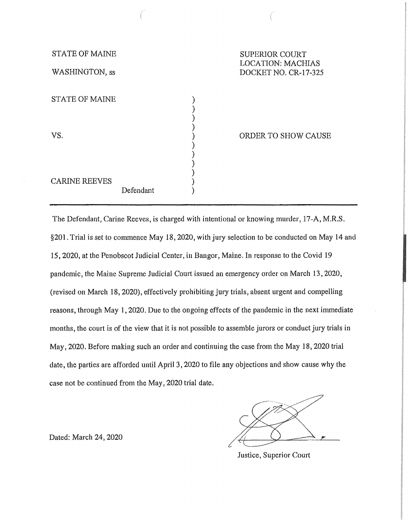| <b>STATE OF MAINE</b> |           | <b>SUPERIOR COURT</b>                            |  |
|-----------------------|-----------|--------------------------------------------------|--|
| WASHINGTON, ss        |           | <b>LOCATION: MACHIAS</b><br>DOCKET NO. CR-17-325 |  |
|                       |           |                                                  |  |
| <b>STATE OF MAINE</b> |           |                                                  |  |
|                       |           |                                                  |  |
| VS.                   |           | ORDER TO SHOW CAUSE                              |  |
|                       |           |                                                  |  |
| <b>CARINE REEVES</b>  |           |                                                  |  |
|                       | Defendant |                                                  |  |

The Defendant, Carine Reeves, is charged with intentional or knowing murder, 17-A, M.R.S. §201. Trial is set to commence May 18, 2020, with jury selection to be conducted on May 14 and 15, 2020, at the Penobscot Judicial Center, in Bangor, Maine. In response to the Covid 19 pandemic, the Maine Supreme Judicial Court issued an emergency order on March 13, 2020, (revised on March 18, 2020), effectively prohibiting jury trials, absent urgent and compelling reasons, through May 1, 2020. Due to the ongoing effects of the pandemic in the next immediate months, the court is of the view that it is not possible to assemble jurors or conduct jury trials in May, 2020. Before making such an order and continuing the case from the May 18, 2020 trial date, the parties are afforded until April 3, 2020 to file any objections and show cause why the case not be continued from the May, 2020 trial date,

Dated: March 24, 2020

Justice, Superior Court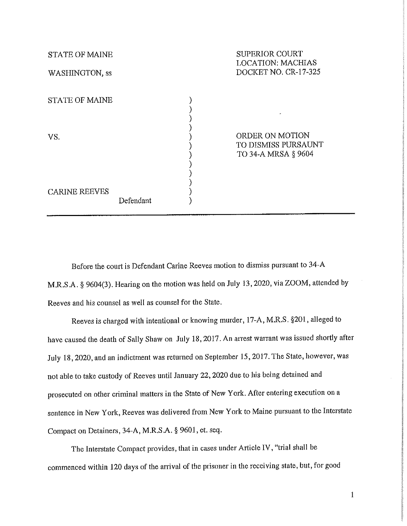| <b>STATE OF MAINE</b><br>WASHINGTON, ss |           | <b>SUPERIOR COURT</b><br><b>LOCATION: MACHIAS</b><br>DOCKET NO. CR-17-325   |
|-----------------------------------------|-----------|-----------------------------------------------------------------------------|
| <b>STATE OF MAINE</b>                   |           |                                                                             |
| VS.                                     |           | <b>ORDER ON MOTION</b><br><b>TO DISMISS PURSAUNT</b><br>TO 34-A MRSA § 9604 |
| <b>CARINE REEVES</b>                    | Defendant |                                                                             |

Before the court is Defendant Carine Reeves motion to dismiss pursuant to 34-A M.R.S.A. § 9604(3). Hearing on the motion was held on July 13, 2020, via ZOOM, attended by Reeves and his counsel as well as counsel for the State.

Reeves is charged with intentional or knowing murder, 17-A, M.R.S. §201, alleged to have caused the death of Sally Shaw on July 18, 2017. An arrest warrant was issued shortly after July 18, 2020, and an indictment was returned on September 15, 2017. The State, however, was not able to take custody of Reeves until January 22, 2020 due to his being detained and prosecuted on other criminal matters in the State of New York. After entering execution on a sentence in New York, Reeves was delivered from New York to Maine pursuant to the Interstate Compact on Detainers, 34-A, M.R.S.A. § 9601, et. seq.

The Interstate Compact provides, that in cases under Article IV, "trial shall be commenced within 120 days of the arrival of the prisoner in the receiving state, but, for good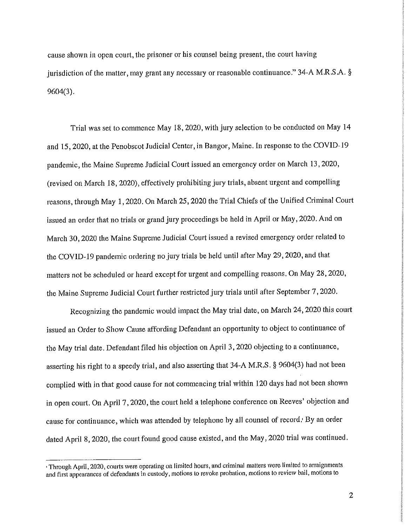cause shown in open court, the prisoner or his counsel being present, the court having jurisdiction of the matter, may grant any necessary or reasonable continuance." 34-A M.R.S.A. § 9604(3).

Trial was set to commence May 18, 2020, with jury selection to be conducted on May 14 and 15, 2020, at the Penobscot Judicial Center, in Bangor, Maine. In response to the COVID-19 pandemic, the Maine Supreme Judicial Court issued an emergency order on March 13, 2020, (revised on March 18, 2020), effectively prohibiting jury trials, absent urgent and compelling reasons, through May 1, 2020. On March 25, 2020 the Trial Chiefs of the Unified Criminal Court issued an order that no trials or grand jury proceedings be held in April or May, 2020. And on March 30, 2020 the Maine Supreme Judicial Court issued a revised emergency order related to the COVID-19 pandemic ordering no jury trials be held until after May 29, 2020, and that matters not be scheduled or heard except for urgent and compelling reasons. On May 28, 2020, the Maine Supreme Judicial Court further restricted jury trials until after September 7, 2020.

Recognizing the pandemic would impact the May trial date, on March 24, 2020 this court issued an Order to Show Cause affording Defendant an opportunity to object to continuance of the May trial date. Defendant filed his objection on April 3, 2020 objecting to a continuance, asserting his right to a speedy trial, and also asserting that 34-A M.R.S. § 9604(3) had not been complied with in that good cause for not commencing trial within 120 days had not been shown in open court. On April 7, 2020, the court held a telephone conference on Reeves' objection and cause for continuance, which was attended by telephone by all counsel of record.' By an order dated April 8, 2020, the court found good cause existed, and the May, 2020 trial was continued.

<sup>,</sup> Through Apl'il, 2020, courts were operating on limited hours, and criminal matters were limited to arraignments and first appearances of defendants in custody, motions to revoke probation, motions to review bail, motions to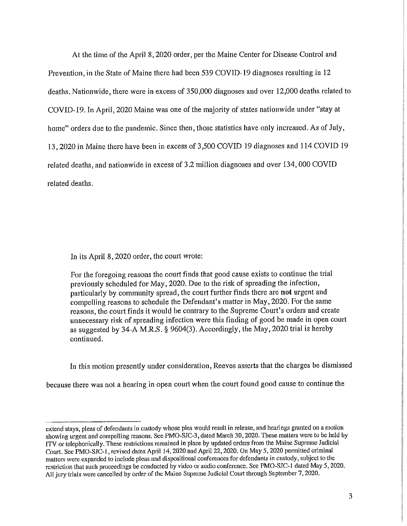At the time of the April 8, 2020 order, per the Maine Center for Disease Control and Prevention, in the State of Maine there had been 539 COVID-19 diagnoses resulting in 12 deaths. Nationwide, there were in excess of 350,000 diagnoses and over 12,000 deaths related to COVID-19. In April, 2020 Maine was one of the majority of states nationwide under "stay at home" orders due to the pandemic. Since then, those statistics have only increased. As of July, 13, 2020 in Maine there have been in excess of 3,500 COVID 19 diagnoses and 114 COVID 19 related deaths, and nationwide in excess of 3.2 million diagnoses and over 134,000 COVID related deaths.

In its April 8, 2020 order, the court wrote:

For the foregoing reasons the court finds that good cause exists to continue the trial previously scheduled for May, 2020. Due to the risk of spreading the infection, particularly by community spread, the court further finds there are **not** urgent and compelling reasons to schedule the Defendant's matter in May, 2020. For the same reasons, the court finds it would be contrary to the Supreme Court's orders and create unnecessary risk of spreading infection were this finding of good be made in open court as suggested by 34-A M.R.S. § 9604(3). Accordingly, the May, 2020 trial is hereby continued.

In this motion presently under consideration, Reeves asserts that the charges be dismissed

because there was not a hearing in open court when the court found good cause to continue the

extend stays, pleas of defendants in custody whose plea would result in release, and hearings granted on a motion showing urgent and compelling reasons. See PMO-SJC-3, dated March 30, 2020. These matters were to be held by ITV or telephonically. These restrictions remained in place by updated orders from the Maine Supreme Judicial Court. See PMO-SJC-1, revised dates April 14, 2020 and April 22, 2020. On May 5, 2020 permitted criminal matters were expanded to include pleas and dispositional conferences for defendants in custody, subject to the restriction that such proceedings be conducted by video or audio conference. See PMO-SJC-1 dated May 5, 2020. All jury trials were cancelled by order of the Maine Supreme Judicial Court through September 7, 2020.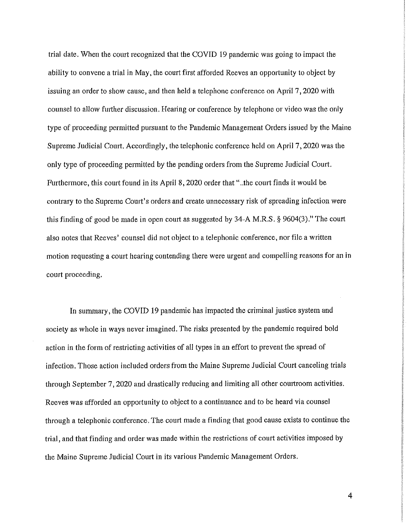trial date. When the court recognized that the COVID 19 pandemic was going to impact the ability to convene a trial in May, the court first afforded Reeves an opportunity to object by issuing an order to show cause, and then held a telephone conference on April 7, 2020 with counsel to allow further discussion. Hearing or conference by telephone or video was the only type of proceeding permitted pursuant to the Pandemic Management Orders issued by the Maine Supreme Judicial Court. Accordingly, the telephonic conference held on April 7, 2020 was the only type of proceeding permitted by the pending orders from the Supreme Judicial Court. Furthermore, this court found in its April 8, 2020 order that" ..the court finds it would be contrary to the Supreme Court's orders and create unnecessary risk of spreading infection were this finding of good be made in open court as suggested by  $34-A$  M.R.S. § 9604(3)." The court also notes that Reeves' counsel did not object to a telephonic conference, nor file a written motion requesting a court hearing contending there were urgent and compelling reasons for an in court proceeding.

In summary, the COVID 19 pandemic has impacted the criminal justice system and society as whole in ways never imagined. The risks presented by the pandemic required bold action in the form of restricting activities of all types in an effort to prevent the spread of infection. Those action included orders from the Maine Supreme Judicial Court canceling trials through September 7, 2020 and drastically reducing and limiting all other courtroom activities. Reeves was afforded an opportunity to object to a continuance and to be heard via counsel through a telephonic conference. The court made a finding that good cause exists to continue the trial, and that finding and order was made within the restrictions of court activities imposed by the Maine Supreme Judicial Court in its various Pandemic Management Orders.

4